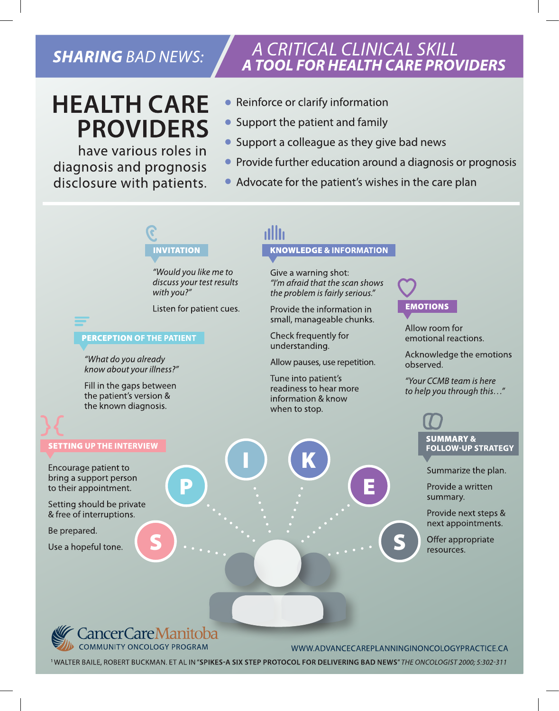### **SHARING BAD NEWS:**

## **HEALTH CARE PROVIDERS**

have various roles in diagnosis and prognosis disclosure with patients.

# A CRITICAL CLINICAL SKILL<br>A TOOL FOR HEALTH CARE PROVIDERS

- Reinforce or clarify information
- Support the patient and family
- Support a colleague as they give bad news
- Provide further education around a diagnosis or prognosis
- Advocate for the patient's wishes in the care plan

## **INVITATION**

"Would you like me to discuss your test results with you?"

Listen for patient cues.

### **PERCEPTION OF THE PATIENT**

"What do you already know about your illness?"

Fill in the gaps between the patient's version & the known diagnosis.

#### **SETTING UP THE INTERVIEW**

Encourage patient to bring a support person to their appointment.

Setting should be private & free of interruptions.

Be prepared.

Use a hopeful tone.

## **KNOWLEDGE & INFORMATION**

Give a warning shot: "I'm afraid that the scan shows the problem is fairly serious."

Provide the information in small, manageable chunks.

Check frequently for understanding.

Allow pauses, use repetition.

Tune into patient's readiness to hear more information & know when to stop.

### **EMOTIONS**

Allow room for emotional reactions.

Acknowledge the emotions observed.

"Your CCMB team is here to help you through this..."

### **SUMMARY & FOLLOW-UP STRATEGY**

Summarize the plan.

Provide a written summary.

Provide next steps & next appointments.

Offer appropriate resources.



WWW.ADVANCECAREPLANNINGINONCOLOGYPRACTICE.CA

<sup>1</sup> WALTER BAILE, ROBERT BUCKMAN. ET AL IN "SPIKES-A SIX STEP PROTOCOL FOR DELIVERING BAD NEWS" THE ONCOLOGIST 2000; 5:302-311